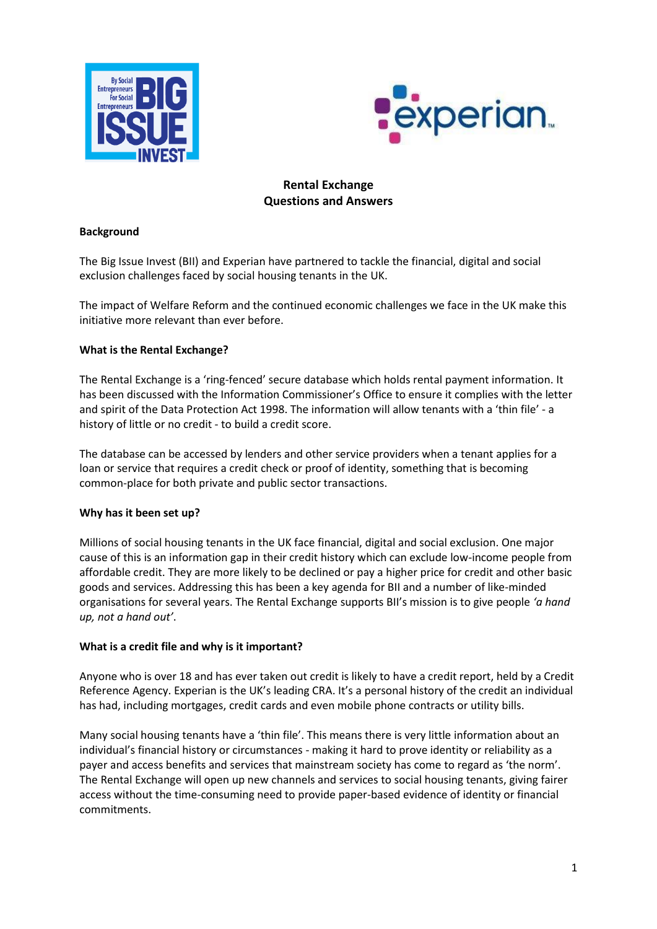



# **Rental Exchange Questions and Answers**

#### **Background**

The Big Issue Invest (BII) and Experian have partnered to tackle the financial, digital and social exclusion challenges faced by social housing tenants in the UK.

The impact of Welfare Reform and the continued economic challenges we face in the UK make this initiative more relevant than ever before.

# **What is the Rental Exchange?**

The Rental Exchange is a 'ring-fenced' secure database which holds rental payment information. It has been discussed with the Information Commissioner's Office to ensure it complies with the letter and spirit of the Data Protection Act 1998. The information will allow tenants with a 'thin file' - a history of little or no credit - to build a credit score.

The database can be accessed by lenders and other service providers when a tenant applies for a loan or service that requires a credit check or proof of identity, something that is becoming common-place for both private and public sector transactions.

# **Why has it been set up?**

Millions of social housing tenants in the UK face financial, digital and social exclusion. One major cause of this is an information gap in their credit history which can exclude low-income people from affordable credit. They are more likely to be declined or pay a higher price for credit and other basic goods and services. Addressing this has been a key agenda for BII and a number of like-minded organisations for several years. The Rental Exchange supports BII's mission is to give people *'a hand up, not a hand out'*.

#### **What is a credit file and why is it important?**

Anyone who is over 18 and has ever taken out credit is likely to have a credit report, held by a Credit Reference Agency. Experian is the UK's leading CRA. It's a personal history of the credit an individual has had, including mortgages, credit cards and even mobile phone contracts or utility bills.

Many social housing tenants have a 'thin file'. This means there is very little information about an individual's financial history or circumstances - making it hard to prove identity or reliability as a payer and access benefits and services that mainstream society has come to regard as 'the norm'. The Rental Exchange will open up new channels and services to social housing tenants, giving fairer access without the time-consuming need to provide paper-based evidence of identity or financial commitments.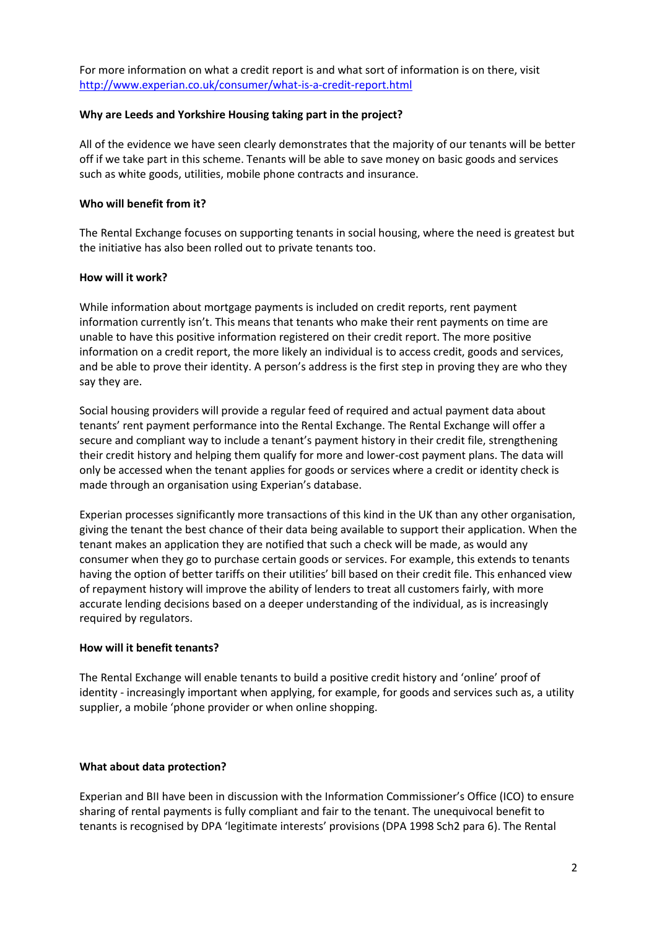For more information on what a credit report is and what sort of information is on there, visit <http://www.experian.co.uk/consumer/what-is-a-credit-report.html>

#### **Why are Leeds and Yorkshire Housing taking part in the project?**

All of the evidence we have seen clearly demonstrates that the majority of our tenants will be better off if we take part in this scheme. Tenants will be able to save money on basic goods and services such as white goods, utilities, mobile phone contracts and insurance.

### **Who will benefit from it?**

The Rental Exchange focuses on supporting tenants in social housing, where the need is greatest but the initiative has also been rolled out to private tenants too.

### **How will it work?**

While information about mortgage payments is included on credit reports, rent payment information currently isn't. This means that tenants who make their rent payments on time are unable to have this positive information registered on their credit report. The more positive information on a credit report, the more likely an individual is to access credit, goods and services, and be able to prove their identity. A person's address is the first step in proving they are who they say they are.

Social housing providers will provide a regular feed of required and actual payment data about tenants' rent payment performance into the Rental Exchange. The Rental Exchange will offer a secure and compliant way to include a tenant's payment history in their credit file, strengthening their credit history and helping them qualify for more and lower-cost payment plans. The data will only be accessed when the tenant applies for goods or services where a credit or identity check is made through an organisation using Experian's database.

Experian processes significantly more transactions of this kind in the UK than any other organisation, giving the tenant the best chance of their data being available to support their application. When the tenant makes an application they are notified that such a check will be made, as would any consumer when they go to purchase certain goods or services. For example, this extends to tenants having the option of better tariffs on their utilities' bill based on their credit file. This enhanced view of repayment history will improve the ability of lenders to treat all customers fairly, with more accurate lending decisions based on a deeper understanding of the individual, as is increasingly required by regulators.

# **How will it benefit tenants?**

The Rental Exchange will enable tenants to build a positive credit history and 'online' proof of identity - increasingly important when applying, for example, for goods and services such as, a utility supplier, a mobile 'phone provider or when online shopping.

#### **What about data protection?**

Experian and BII have been in discussion with the Information Commissioner's Office (ICO) to ensure sharing of rental payments is fully compliant and fair to the tenant. The unequivocal benefit to tenants is recognised by DPA 'legitimate interests' provisions (DPA 1998 Sch2 para 6). The Rental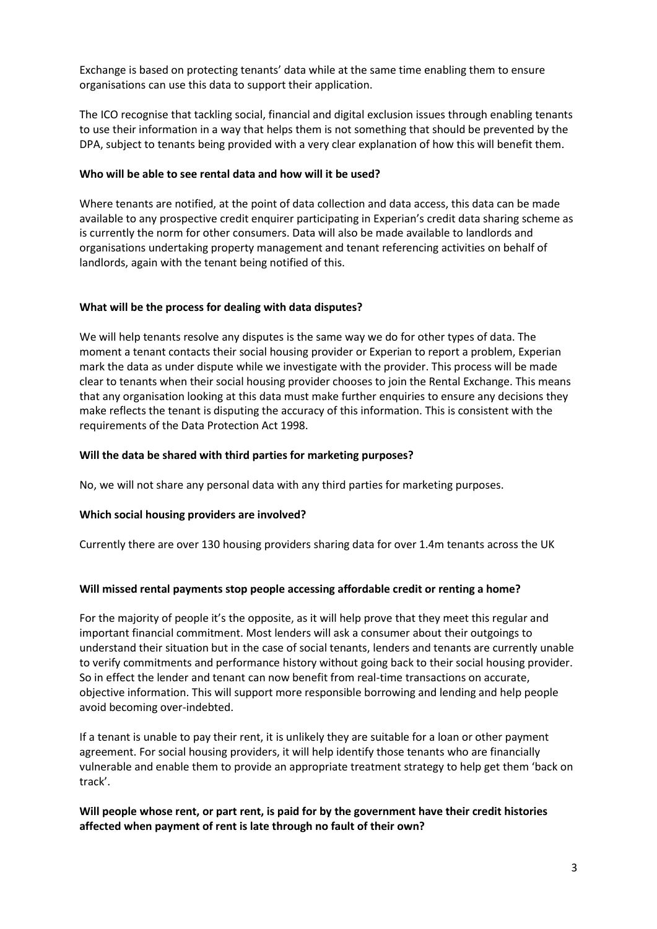Exchange is based on protecting tenants' data while at the same time enabling them to ensure organisations can use this data to support their application.

The ICO recognise that tackling social, financial and digital exclusion issues through enabling tenants to use their information in a way that helps them is not something that should be prevented by the DPA, subject to tenants being provided with a very clear explanation of how this will benefit them.

#### **Who will be able to see rental data and how will it be used?**

Where tenants are notified, at the point of data collection and data access, this data can be made available to any prospective credit enquirer participating in Experian's credit data sharing scheme as is currently the norm for other consumers. Data will also be made available to landlords and organisations undertaking property management and tenant referencing activities on behalf of landlords, again with the tenant being notified of this.

### **What will be the process for dealing with data disputes?**

We will help tenants resolve any disputes is the same way we do for other types of data. The moment a tenant contacts their social housing provider or Experian to report a problem, Experian mark the data as under dispute while we investigate with the provider. This process will be made clear to tenants when their social housing provider chooses to join the Rental Exchange. This means that any organisation looking at this data must make further enquiries to ensure any decisions they make reflects the tenant is disputing the accuracy of this information. This is consistent with the requirements of the Data Protection Act 1998.

### **Will the data be shared with third parties for marketing purposes?**

No, we will not share any personal data with any third parties for marketing purposes.

# **Which social housing providers are involved?**

Currently there are over 130 housing providers sharing data for over 1.4m tenants across the UK

# **Will missed rental payments stop people accessing affordable credit or renting a home?**

For the majority of people it's the opposite, as it will help prove that they meet this regular and important financial commitment. Most lenders will ask a consumer about their outgoings to understand their situation but in the case of social tenants, lenders and tenants are currently unable to verify commitments and performance history without going back to their social housing provider. So in effect the lender and tenant can now benefit from real-time transactions on accurate, objective information. This will support more responsible borrowing and lending and help people avoid becoming over-indebted.

If a tenant is unable to pay their rent, it is unlikely they are suitable for a loan or other payment agreement. For social housing providers, it will help identify those tenants who are financially vulnerable and enable them to provide an appropriate treatment strategy to help get them 'back on track'.

# **Will people whose rent, or part rent, is paid for by the government have their credit histories affected when payment of rent is late through no fault of their own?**